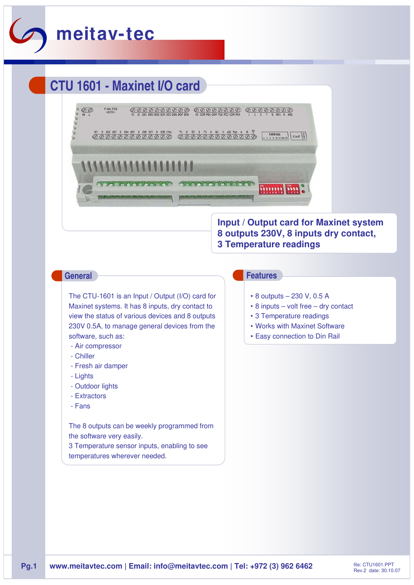

# **CTU 1601 - Maxinet I/O card**



# **Input / Output card for Maxinet system 8 outputs 230V, 8 inputs dry contact, 3 Temperature readings**

The CTU-1601 is an Input / Output (I/O) card for Maxinet systems. It has 8 inputs, dry contact to view the status of various devices and 8 outputs 230V 0.5A, to manage general devices from the software, such as:

- Air compressor
- Chiller
- Fresh air damper
- Lights
- Outdoor lights
- Extractors
- Fans

The 8 outputs can be weekly programmed from the software very easily. 3 Temperature sensor inputs, enabling to see

temperatures wherever needed.

### **General Features**

- 8 outputs 230 V, 0.5 A
- 8 inputs volt free dry contact
- 3 Temperature readings
- Works with Maxinet Software
- Easy connection to Din Rail